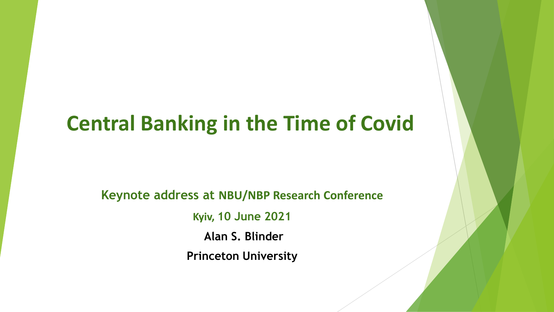### **Central Banking in the Time of Covid**

**Keynote address at NBU/NBP Research Conference**

**Kyiv, 10 June 2021**

**Alan S. Blinder**

**Princeton University**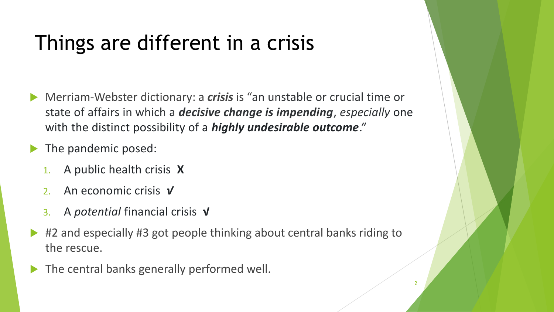# Things are different in a crisis

- Merriam-Webster dictionary: a *crisis* is "an unstable or crucial time or state of affairs in which a *decisive change is impending*, *especially* one with the distinct possibility of a *highly undesirable outcome*."
- The pandemic posed:
	- 1. A public health crisis **X**
	- 2. An economic crisis *√*
	- 3. A *potential* financial crisis **√**
- #2 and especially #3 got people thinking about central banks riding to the rescue.
- The central banks generally performed well.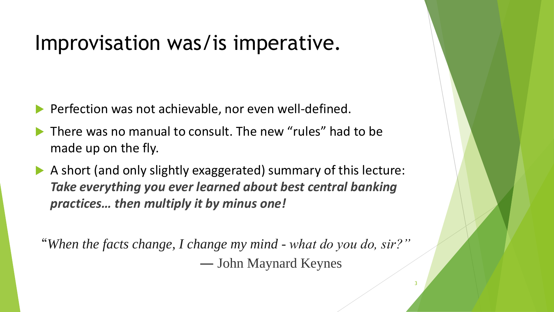### Improvisation was/is imperative.

- Perfection was not achievable, nor even well-defined.
- There was no manual to consult. The new "rules" had to be made up on the fly.
- A short (and only slightly exaggerated) summary of this lecture: *Take everything you ever learned about best central banking practices… then multiply it by minus one!*

"*When the facts change, I change my mind - what do you do, sir?" ―* John Maynard Keynes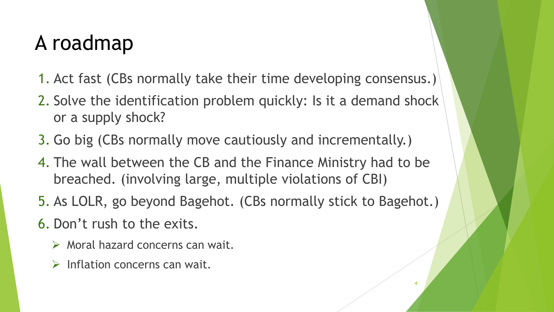### A roadmap

- 1. Act fast (CBs normally take their time developing consensus.)
- 2. Solve the identification problem quickly: Is it a demand shock or a supply shock?
- 3. Go big (CBs normally move cautiously and incrementally.)
- 4. The wall between the CB and the Finance Ministry had to be breached. (involving large, multiple violations of CBI)
- 5. As LOLR, go beyond Bagehot. (CBs normally stick to Bagehot.)

4

- 6. Don't rush to the exits.
	- $\triangleright$  Moral hazard concerns can wait.
	- $\triangleright$  Inflation concerns can wait.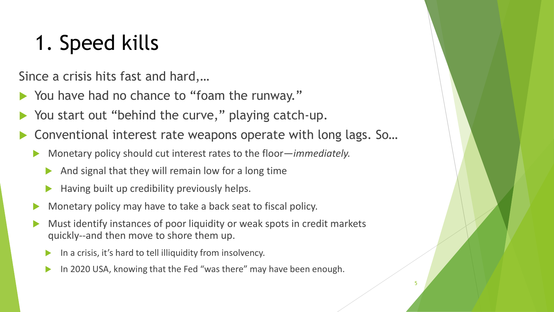# 1. Speed kills

Since a crisis hits fast and hard,…

- You have had no chance to "foam the runway."
- You start out "behind the curve," playing catch-up.
- Conventional interest rate weapons operate with long lags. So…
	- Monetary policy should cut interest rates to the floor—*immediately.*
		- And signal that they will remain low for a long time
		- Having built up credibility previously helps.
	- Monetary policy may have to take a back seat to fiscal policy.
	- Must identify instances of poor liquidity or weak spots in credit markets quickly--and then move to shore them up.
		- In a crisis, it's hard to tell illiquidity from insolvency.
		- In 2020 USA, knowing that the Fed "was there" may have been enough.

5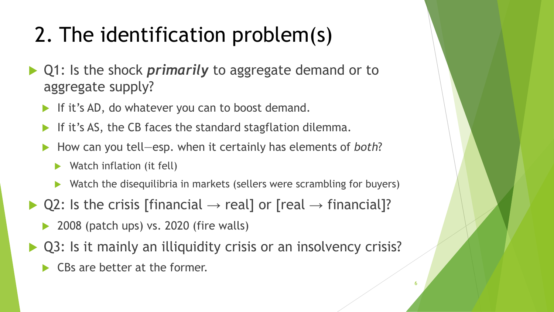# 2. The identification problem(s)

- ▶ Q1: Is the shock *primarily* to aggregate demand or to aggregate supply?
	- If it's AD, do whatever you can to boost demand.
	- If it's AS, the CB faces the standard stagflation dilemma.
	- How can you tell—esp. when it certainly has elements of *both*?
		- Watch inflation (it fell)
		- Watch the disequilibria in markets (sellers were scrambling for buyers)
- $\triangleright$  Q2: Is the crisis [financial  $\rightarrow$  real] or [real  $\rightarrow$  financial]?
	- $\blacktriangleright$  2008 (patch ups) vs. 2020 (fire walls)
- Q3: Is it mainly an illiquidity crisis or an insolvency crisis?

6

 $\triangleright$  CBs are better at the former.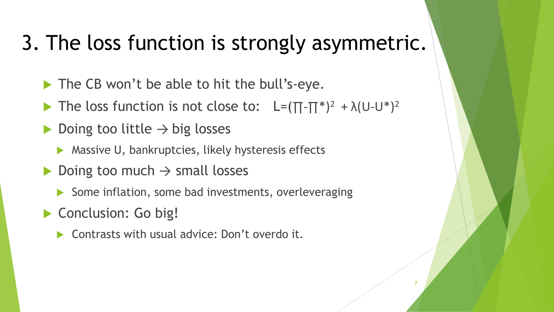### 3. The loss function is strongly asymmetric.

- The CB won't be able to hit the bull's-eye.
- The loss function is not close to:  $L=(\Pi-\Pi^*)^2 + \lambda(U-U^*)^2$
- Doing too little  $\rightarrow$  big losses
	- **Massive U, bankruptcies, likely hysteresis effects**
- Doing too much  $\rightarrow$  small losses
	- Some inflation, some bad investments, overleveraging

7

- Conclusion: Go big!
	- ▶ Contrasts with usual advice: Don't overdo it.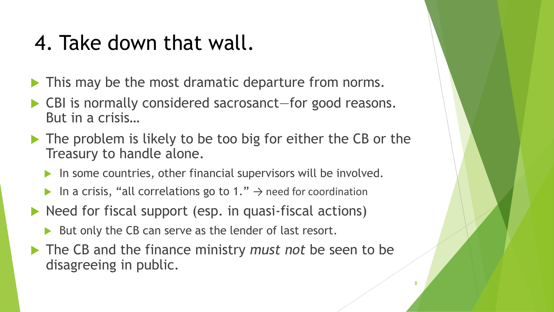### 4. Take down that wall.

- **This may be the most dramatic departure from norms.**
- CBI is normally considered sacrosanct—for good reasons. But in a crisis…
- The problem is likely to be too big for either the CB or the Treasury to handle alone.
	- In some countries, other financial supervisors will be involved.
	- In a crisis, "all correlations go to 1."  $\rightarrow$  need for coordination
- $\blacktriangleright$  Need for fiscal support (esp. in quasi-fiscal actions)
	- But only the CB can serve as the lender of last resort.
- The CB and the finance ministry *must not* be seen to be disagreeing in public.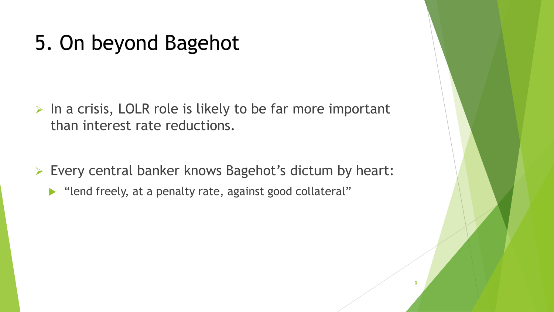### 5. On beyond Bagehot

- $\triangleright$  In a crisis, LOLR role is likely to be far more important than interest rate reductions.
- Every central banker knows Bagehot's dictum by heart:

 $\overline{a}$ 

"lend freely, at a penalty rate, against good collateral"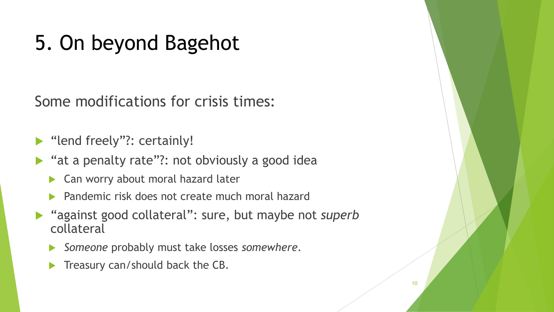# 5. On beyond Bagehot

Some modifications for crisis times:

▶ "lend freely"?: certainly!

- ▶ "at a penalty rate"?: not obviously a good idea
	- Can worry about moral hazard later
	- Pandemic risk does not create much moral hazard
- "against good collateral": sure, but maybe not *superb* collateral
	- *Someone* probably must take losses *somewhere*.
	- Treasury can/should back the CB.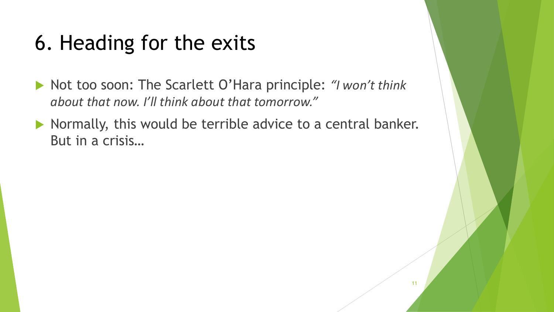# 6. Heading for the exits

- ▶ Not too soon: The Scarlett O'Hara principle: *"I won't think about that now. I'll think about that tomorrow."*
- $\blacktriangleright$  Normally, this would be terrible advice to a central banker. But in a crisis…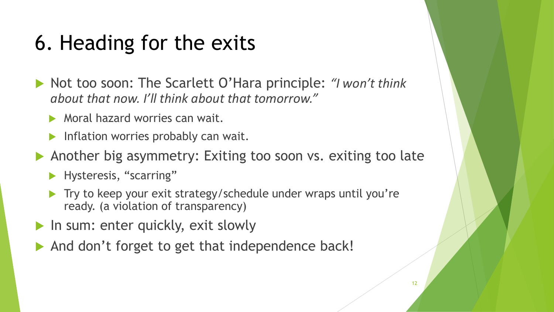# 6. Heading for the exits

- ▶ Not too soon: The Scarlett O'Hara principle: *"I won't think about that now. I'll think about that tomorrow."*
	- **Moral hazard worries can wait.**
	- **Inflation worries probably can wait.**
- Another big asymmetry: Exiting too soon vs. exiting too late
	- **Hysteresis, "scarring"**
	- Try to keep your exit strategy/schedule under wraps until you're ready. (a violation of transparency)
- In sum: enter quickly, exit slowly
- And don't forget to get that independence back!